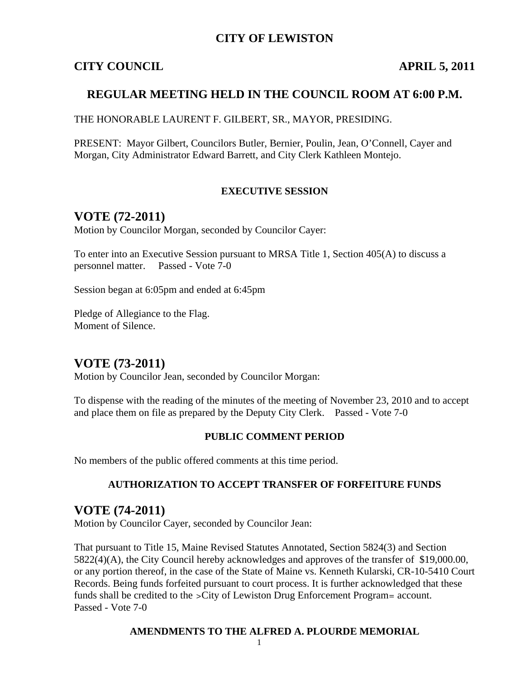## **CITY OF LEWISTON**

## **CITY COUNCIL APRIL 5, 2011**

## **REGULAR MEETING HELD IN THE COUNCIL ROOM AT 6:00 P.M.**

THE HONORABLE LAURENT F. GILBERT, SR., MAYOR, PRESIDING.

PRESENT: Mayor Gilbert, Councilors Butler, Bernier, Poulin, Jean, O'Connell, Cayer and Morgan, City Administrator Edward Barrett, and City Clerk Kathleen Montejo.

#### **EXECUTIVE SESSION**

## **VOTE (72-2011)**

Motion by Councilor Morgan, seconded by Councilor Cayer:

To enter into an Executive Session pursuant to MRSA Title 1, Section 405(A) to discuss a personnel matter. Passed - Vote 7-0

Session began at 6:05pm and ended at 6:45pm

Pledge of Allegiance to the Flag. Moment of Silence.

## **VOTE (73-2011)**

Motion by Councilor Jean, seconded by Councilor Morgan:

To dispense with the reading of the minutes of the meeting of November 23, 2010 and to accept and place them on file as prepared by the Deputy City Clerk. Passed - Vote 7-0

#### **PUBLIC COMMENT PERIOD**

No members of the public offered comments at this time period.

#### **AUTHORIZATION TO ACCEPT TRANSFER OF FORFEITURE FUNDS**

## **VOTE (74-2011)**

Motion by Councilor Cayer, seconded by Councilor Jean:

That pursuant to Title 15, Maine Revised Statutes Annotated, Section 5824(3) and Section 5822(4)(A), the City Council hereby acknowledges and approves of the transfer of \$19,000.00, or any portion thereof, in the case of the State of Maine vs. Kenneth Kularski, CR-10-5410 Court Records. Being funds forfeited pursuant to court process. It is further acknowledged that these funds shall be credited to the >City of Lewiston Drug Enforcement Program= account. Passed - Vote 7-0

#### **AMENDMENTS TO THE ALFRED A. PLOURDE MEMORIAL**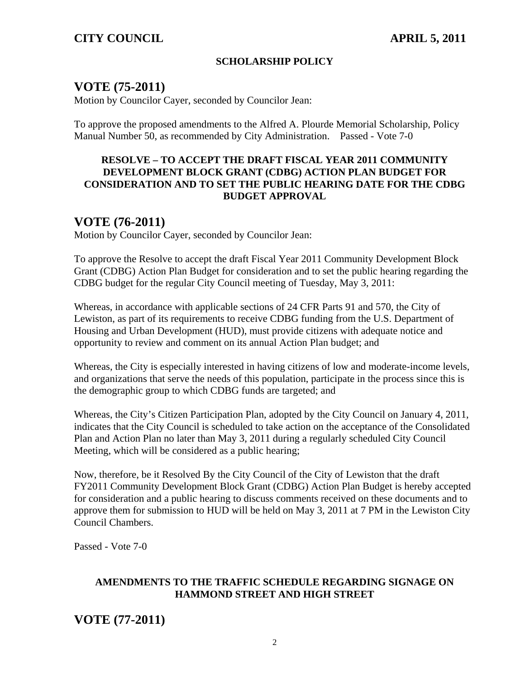#### **SCHOLARSHIP POLICY**

## **VOTE (75-2011)**

Motion by Councilor Cayer, seconded by Councilor Jean:

To approve the proposed amendments to the Alfred A. Plourde Memorial Scholarship, Policy Manual Number 50, as recommended by City Administration. Passed - Vote 7-0

#### **RESOLVE – TO ACCEPT THE DRAFT FISCAL YEAR 2011 COMMUNITY DEVELOPMENT BLOCK GRANT (CDBG) ACTION PLAN BUDGET FOR CONSIDERATION AND TO SET THE PUBLIC HEARING DATE FOR THE CDBG BUDGET APPROVAL**

## **VOTE (76-2011)**

Motion by Councilor Cayer, seconded by Councilor Jean:

To approve the Resolve to accept the draft Fiscal Year 2011 Community Development Block Grant (CDBG) Action Plan Budget for consideration and to set the public hearing regarding the CDBG budget for the regular City Council meeting of Tuesday, May 3, 2011:

Whereas, in accordance with applicable sections of 24 CFR Parts 91 and 570, the City of Lewiston, as part of its requirements to receive CDBG funding from the U.S. Department of Housing and Urban Development (HUD), must provide citizens with adequate notice and opportunity to review and comment on its annual Action Plan budget; and

Whereas, the City is especially interested in having citizens of low and moderate-income levels, and organizations that serve the needs of this population, participate in the process since this is the demographic group to which CDBG funds are targeted; and

Whereas, the City's Citizen Participation Plan, adopted by the City Council on January 4, 2011, indicates that the City Council is scheduled to take action on the acceptance of the Consolidated Plan and Action Plan no later than May 3, 2011 during a regularly scheduled City Council Meeting, which will be considered as a public hearing;

Now, therefore, be it Resolved By the City Council of the City of Lewiston that the draft FY2011 Community Development Block Grant (CDBG) Action Plan Budget is hereby accepted for consideration and a public hearing to discuss comments received on these documents and to approve them for submission to HUD will be held on May 3, 2011 at 7 PM in the Lewiston City Council Chambers.

Passed - Vote 7-0

#### **AMENDMENTS TO THE TRAFFIC SCHEDULE REGARDING SIGNAGE ON HAMMOND STREET AND HIGH STREET**

**VOTE (77-2011)**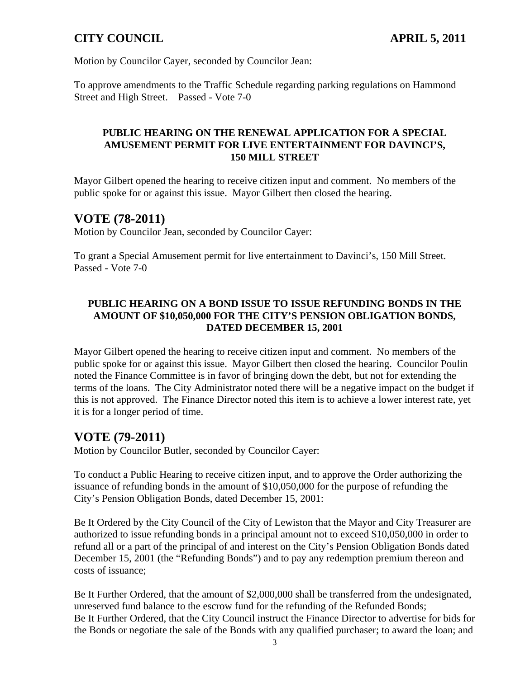Motion by Councilor Cayer, seconded by Councilor Jean:

To approve amendments to the Traffic Schedule regarding parking regulations on Hammond Street and High Street. Passed - Vote 7-0

#### **PUBLIC HEARING ON THE RENEWAL APPLICATION FOR A SPECIAL AMUSEMENT PERMIT FOR LIVE ENTERTAINMENT FOR DAVINCI'S, 150 MILL STREET**

Mayor Gilbert opened the hearing to receive citizen input and comment. No members of the public spoke for or against this issue. Mayor Gilbert then closed the hearing.

## **VOTE (78-2011)**

Motion by Councilor Jean, seconded by Councilor Cayer:

To grant a Special Amusement permit for live entertainment to Davinci's, 150 Mill Street. Passed - Vote 7-0

#### **PUBLIC HEARING ON A BOND ISSUE TO ISSUE REFUNDING BONDS IN THE AMOUNT OF \$10,050,000 FOR THE CITY'S PENSION OBLIGATION BONDS, DATED DECEMBER 15, 2001**

Mayor Gilbert opened the hearing to receive citizen input and comment. No members of the public spoke for or against this issue. Mayor Gilbert then closed the hearing. Councilor Poulin noted the Finance Committee is in favor of bringing down the debt, but not for extending the terms of the loans. The City Administrator noted there will be a negative impact on the budget if this is not approved. The Finance Director noted this item is to achieve a lower interest rate, yet it is for a longer period of time.

## **VOTE (79-2011)**

Motion by Councilor Butler, seconded by Councilor Cayer:

To conduct a Public Hearing to receive citizen input, and to approve the Order authorizing the issuance of refunding bonds in the amount of \$10,050,000 for the purpose of refunding the City's Pension Obligation Bonds, dated December 15, 2001:

Be It Ordered by the City Council of the City of Lewiston that the Mayor and City Treasurer are authorized to issue refunding bonds in a principal amount not to exceed \$10,050,000 in order to refund all or a part of the principal of and interest on the City's Pension Obligation Bonds dated December 15, 2001 (the "Refunding Bonds") and to pay any redemption premium thereon and costs of issuance;

Be It Further Ordered, that the amount of \$2,000,000 shall be transferred from the undesignated, unreserved fund balance to the escrow fund for the refunding of the Refunded Bonds; Be It Further Ordered, that the City Council instruct the Finance Director to advertise for bids for the Bonds or negotiate the sale of the Bonds with any qualified purchaser; to award the loan; and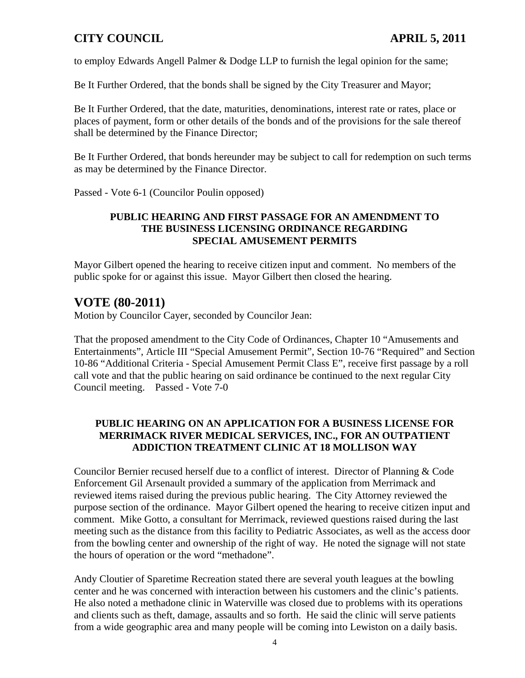to employ Edwards Angell Palmer & Dodge LLP to furnish the legal opinion for the same;

Be It Further Ordered, that the bonds shall be signed by the City Treasurer and Mayor;

Be It Further Ordered, that the date, maturities, denominations, interest rate or rates, place or places of payment, form or other details of the bonds and of the provisions for the sale thereof shall be determined by the Finance Director;

Be It Further Ordered, that bonds hereunder may be subject to call for redemption on such terms as may be determined by the Finance Director.

Passed - Vote 6-1 (Councilor Poulin opposed)

#### **PUBLIC HEARING AND FIRST PASSAGE FOR AN AMENDMENT TO THE BUSINESS LICENSING ORDINANCE REGARDING SPECIAL AMUSEMENT PERMITS**

Mayor Gilbert opened the hearing to receive citizen input and comment. No members of the public spoke for or against this issue. Mayor Gilbert then closed the hearing.

# **VOTE (80-2011)**

Motion by Councilor Cayer, seconded by Councilor Jean:

That the proposed amendment to the City Code of Ordinances, Chapter 10 "Amusements and Entertainments", Article III "Special Amusement Permit", Section 10-76 "Required" and Section 10-86 "Additional Criteria - Special Amusement Permit Class E", receive first passage by a roll call vote and that the public hearing on said ordinance be continued to the next regular City Council meeting. Passed - Vote 7-0

## **PUBLIC HEARING ON AN APPLICATION FOR A BUSINESS LICENSE FOR MERRIMACK RIVER MEDICAL SERVICES, INC., FOR AN OUTPATIENT ADDICTION TREATMENT CLINIC AT 18 MOLLISON WAY**

Councilor Bernier recused herself due to a conflict of interest. Director of Planning & Code Enforcement Gil Arsenault provided a summary of the application from Merrimack and reviewed items raised during the previous public hearing. The City Attorney reviewed the purpose section of the ordinance. Mayor Gilbert opened the hearing to receive citizen input and comment. Mike Gotto, a consultant for Merrimack, reviewed questions raised during the last meeting such as the distance from this facility to Pediatric Associates, as well as the access door from the bowling center and ownership of the right of way. He noted the signage will not state the hours of operation or the word "methadone".

Andy Cloutier of Sparetime Recreation stated there are several youth leagues at the bowling center and he was concerned with interaction between his customers and the clinic's patients. He also noted a methadone clinic in Waterville was closed due to problems with its operations and clients such as theft, damage, assaults and so forth. He said the clinic will serve patients from a wide geographic area and many people will be coming into Lewiston on a daily basis.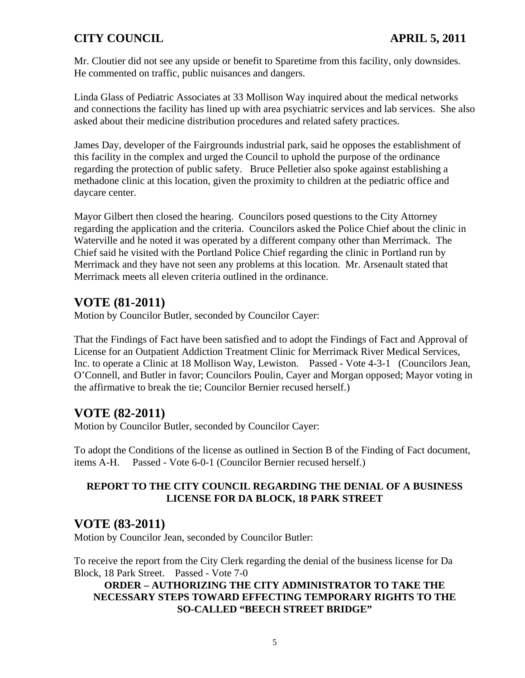Mr. Cloutier did not see any upside or benefit to Sparetime from this facility, only downsides. He commented on traffic, public nuisances and dangers.

Linda Glass of Pediatric Associates at 33 Mollison Way inquired about the medical networks and connections the facility has lined up with area psychiatric services and lab services. She also asked about their medicine distribution procedures and related safety practices.

James Day, developer of the Fairgrounds industrial park, said he opposes the establishment of this facility in the complex and urged the Council to uphold the purpose of the ordinance regarding the protection of public safety. Bruce Pelletier also spoke against establishing a methadone clinic at this location, given the proximity to children at the pediatric office and daycare center.

Mayor Gilbert then closed the hearing. Councilors posed questions to the City Attorney regarding the application and the criteria. Councilors asked the Police Chief about the clinic in Waterville and he noted it was operated by a different company other than Merrimack. The Chief said he visited with the Portland Police Chief regarding the clinic in Portland run by Merrimack and they have not seen any problems at this location. Mr. Arsenault stated that Merrimack meets all eleven criteria outlined in the ordinance.

# **VOTE (81-2011)**

Motion by Councilor Butler, seconded by Councilor Cayer:

That the Findings of Fact have been satisfied and to adopt the Findings of Fact and Approval of License for an Outpatient Addiction Treatment Clinic for Merrimack River Medical Services, Inc. to operate a Clinic at 18 Mollison Way, Lewiston. Passed - Vote 4-3-1 (Councilors Jean, O'Connell, and Butler in favor; Councilors Poulin, Cayer and Morgan opposed; Mayor voting in the affirmative to break the tie; Councilor Bernier recused herself.)

## **VOTE (82-2011)**

Motion by Councilor Butler, seconded by Councilor Cayer:

To adopt the Conditions of the license as outlined in Section B of the Finding of Fact document, items A-H. Passed - Vote 6-0-1 (Councilor Bernier recused herself.)

#### **REPORT TO THE CITY COUNCIL REGARDING THE DENIAL OF A BUSINESS LICENSE FOR DA BLOCK, 18 PARK STREET**

## **VOTE (83-2011)**

Motion by Councilor Jean, seconded by Councilor Butler:

To receive the report from the City Clerk regarding the denial of the business license for Da Block, 18 Park Street. Passed - Vote 7-0

#### **ORDER – AUTHORIZING THE CITY ADMINISTRATOR TO TAKE THE NECESSARY STEPS TOWARD EFFECTING TEMPORARY RIGHTS TO THE SO-CALLED "BEECH STREET BRIDGE"**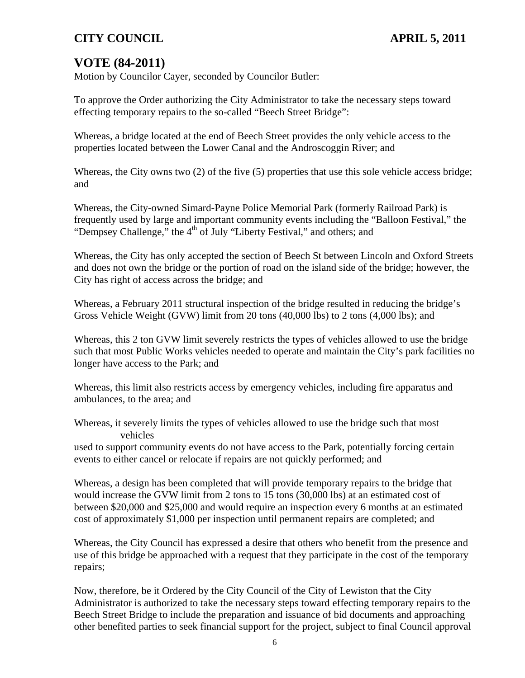# **VOTE (84-2011)**

Motion by Councilor Cayer, seconded by Councilor Butler:

To approve the Order authorizing the City Administrator to take the necessary steps toward effecting temporary repairs to the so-called "Beech Street Bridge":

Whereas, a bridge located at the end of Beech Street provides the only vehicle access to the properties located between the Lower Canal and the Androscoggin River; and

Whereas, the City owns two (2) of the five (5) properties that use this sole vehicle access bridge; and

Whereas, the City-owned Simard-Payne Police Memorial Park (formerly Railroad Park) is frequently used by large and important community events including the "Balloon Festival," the "Dempsey Challenge," the 4<sup>th</sup> of July "Liberty Festival," and others; and

Whereas, the City has only accepted the section of Beech St between Lincoln and Oxford Streets and does not own the bridge or the portion of road on the island side of the bridge; however, the City has right of access across the bridge; and

Whereas, a February 2011 structural inspection of the bridge resulted in reducing the bridge's Gross Vehicle Weight (GVW) limit from 20 tons (40,000 lbs) to 2 tons (4,000 lbs); and

Whereas, this 2 ton GVW limit severely restricts the types of vehicles allowed to use the bridge such that most Public Works vehicles needed to operate and maintain the City's park facilities no longer have access to the Park; and

Whereas, this limit also restricts access by emergency vehicles, including fire apparatus and ambulances, to the area; and

Whereas, it severely limits the types of vehicles allowed to use the bridge such that most vehicles

used to support community events do not have access to the Park, potentially forcing certain events to either cancel or relocate if repairs are not quickly performed; and

Whereas, a design has been completed that will provide temporary repairs to the bridge that would increase the GVW limit from 2 tons to 15 tons (30,000 lbs) at an estimated cost of between \$20,000 and \$25,000 and would require an inspection every 6 months at an estimated cost of approximately \$1,000 per inspection until permanent repairs are completed; and

Whereas, the City Council has expressed a desire that others who benefit from the presence and use of this bridge be approached with a request that they participate in the cost of the temporary repairs;

Now, therefore, be it Ordered by the City Council of the City of Lewiston that the City Administrator is authorized to take the necessary steps toward effecting temporary repairs to the Beech Street Bridge to include the preparation and issuance of bid documents and approaching other benefited parties to seek financial support for the project, subject to final Council approval